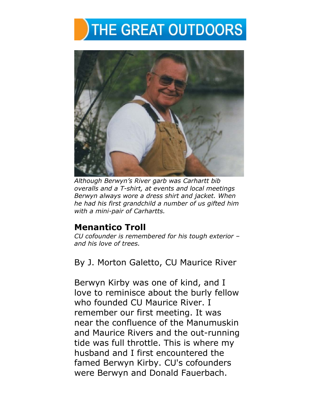## **THE GREAT OUTDOORS**



*Although Berwyn's River garb was Carhartt bib overalls and a T-shirt, at events and local meetings Berwyn always wore a dress shirt and jacket. When he had his first grandchild a number of us gifted him with a mini-pair of Carhartts.* 

## **Menantico Troll**

*CU cofounder is remembered for his tough exterior – and his love of trees.* 

By J. Morton Galetto, CU Maurice River

Berwyn Kirby was one of kind, and I love to reminisce about the burly fellow who founded CU Maurice River. I remember our first meeting. It was near the confluence of the Manumuskin and Maurice Rivers and the out-running tide was full throttle. This is where my husband and I first encountered the famed Berwyn Kirby. CU's cofounders were Berwyn and Donald Fauerbach.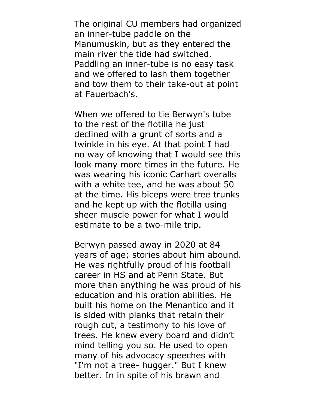The original CU members had organized an inner-tube paddle on the Manumuskin, but as they entered the main river the tide had switched. Paddling an inner-tube is no easy task and we offered to lash them together and tow them to their take-out at point at Fauerbach's.

When we offered to tie Berwyn's tube to the rest of the flotilla he just declined with a grunt of sorts and a twinkle in his eye. At that point I had no way of knowing that I would see this look many more times in the future. He was wearing his iconic Carhart overalls with a white tee, and he was about 50 at the time. His biceps were tree trunks and he kept up with the flotilla using sheer muscle power for what I would estimate to be a two-mile trip.

Berwyn passed away in 2020 at 84 years of age; stories about him abound. He was rightfully proud of his football career in HS and at Penn State. But more than anything he was proud of his education and his oration abilities. He built his home on the Menantico and it is sided with planks that retain their rough cut, a testimony to his love of trees. He knew every board and didn't mind telling you so. He used to open many of his advocacy speeches with "I'm not a tree- hugger." But I knew better. In in spite of his brawn and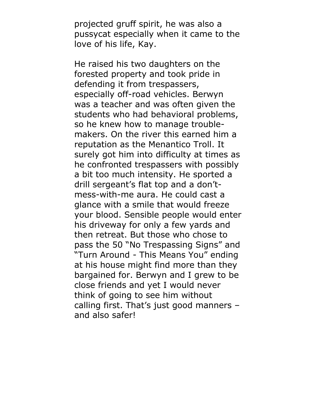projected gruff spirit, he was also a pussycat especially when it came to the love of his life, Kay.

He raised his two daughters on the forested property and took pride in defending it from trespassers, especially off-road vehicles. Berwyn was a teacher and was often given the students who had behavioral problems, so he knew how to manage troublemakers. On the river this earned him a reputation as the Menantico Troll. It surely got him into difficulty at times as he confronted trespassers with possibly a bit too much intensity. He sported a drill sergeant's flat top and a don'tmess-with-me aura. He could cast a glance with a smile that would freeze your blood. Sensible people would enter his driveway for only a few yards and then retreat. But those who chose to pass the 50 "No Trespassing Signs" and "Turn Around - This Means You" ending at his house might find more than they bargained for. Berwyn and I grew to be close friends and yet I would never think of going to see him without calling first. That's just good manners – and also safer!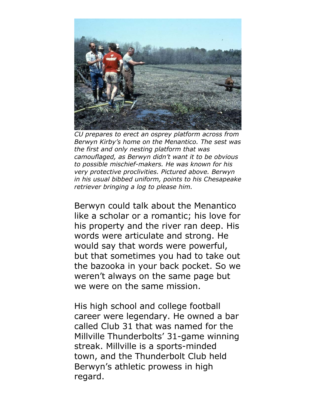

*CU prepares to erect an osprey platform across from Berwyn Kirby's home on the Menantico. The sest was the first and only nesting platform that was camouflaged, as Berwyn didn't want it to be obvious to possible mischief-makers. He was known for his very protective proclivities. Pictured above. Berwyn in his usual bibbed uniform, points to his Chesapeake retriever bringing a log to please him.* 

Berwyn could talk about the Menantico like a scholar or a romantic; his love for his property and the river ran deep. His words were articulate and strong. He would say that words were powerful, but that sometimes you had to take out the bazooka in your back pocket. So we weren't always on the same page but we were on the same mission.

His high school and college football career were legendary. He owned a bar called Club 31 that was named for the Millville Thunderbolts' 31-game winning streak. Millville is a sports-minded town, and the Thunderbolt Club held Berwyn's athletic prowess in high regard.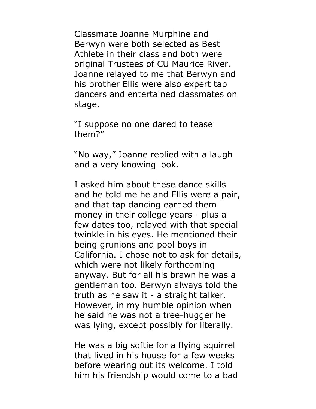Classmate Joanne Murphine and Berwyn were both selected as Best Athlete in their class and both were original Trustees of CU Maurice River. Joanne relayed to me that Berwyn and his brother Ellis were also expert tap dancers and entertained classmates on stage.

"I suppose no one dared to tease them?"

"No way," Joanne replied with a laugh and a very knowing look.

I asked him about these dance skills and he told me he and Ellis were a pair, and that tap dancing earned them money in their college years - plus a few dates too, relayed with that special twinkle in his eyes. He mentioned their being grunions and pool boys in California. I chose not to ask for details, which were not likely forthcoming anyway. But for all his brawn he was a gentleman too. Berwyn always told the truth as he saw it - a straight talker. However, in my humble opinion when he said he was not a tree-hugger he was lying, except possibly for literally.

He was a big softie for a flying squirrel that lived in his house for a few weeks before wearing out its welcome. I told him his friendship would come to a bad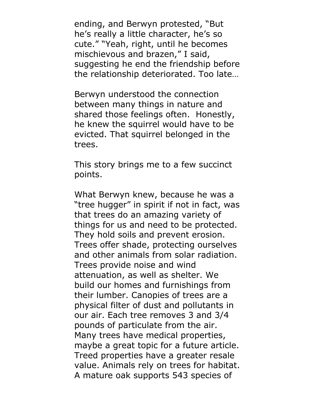ending, and Berwyn protested, "But he's really a little character, he's so cute." "Yeah, right, until he becomes mischievous and brazen," I said, suggesting he end the friendship before the relationship deteriorated. Too late…

Berwyn understood the connection between many things in nature and shared those feelings often. Honestly, he knew the squirrel would have to be evicted. That squirrel belonged in the trees.

This story brings me to a few succinct points.

What Berwyn knew, because he was a "tree hugger" in spirit if not in fact, was that trees do an amazing variety of things for us and need to be protected. They hold soils and prevent erosion. Trees offer shade, protecting ourselves and other animals from solar radiation. Trees provide noise and wind attenuation, as well as shelter. We build our homes and furnishings from their lumber. Canopies of trees are a physical filter of dust and pollutants in our air. Each tree removes 3 and 3/4 pounds of particulate from the air. Many trees have medical properties, maybe a great topic for a future article. Treed properties have a greater resale value. Animals rely on trees for habitat. A mature oak supports 543 species of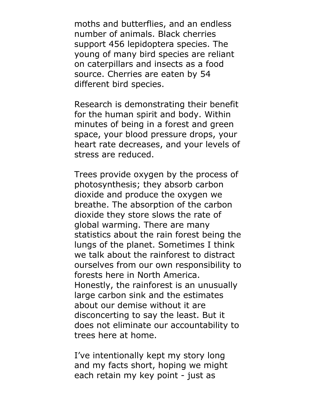moths and butterflies, and an endless number of animals. Black cherries support 456 lepidoptera species. The young of many bird species are reliant on caterpillars and insects as a food source. Cherries are eaten by 54 different bird species.

Research is demonstrating their benefit for the human spirit and body. Within minutes of being in a forest and green space, your blood pressure drops, your heart rate decreases, and your levels of stress are reduced.

Trees provide oxygen by the process of photosynthesis; they absorb carbon dioxide and produce the oxygen we breathe. The absorption of the carbon dioxide they store slows the rate of global warming. There are many statistics about the rain forest being the lungs of the planet. Sometimes I think we talk about the rainforest to distract ourselves from our own responsibility to forests here in North America. Honestly, the rainforest is an unusually large carbon sink and the estimates about our demise without it are disconcerting to say the least. But it does not eliminate our accountability to trees here at home.

I've intentionally kept my story long and my facts short, hoping we might each retain my key point - just as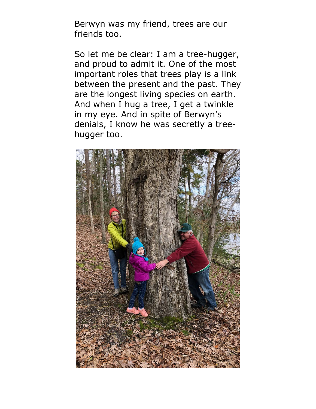Berwyn was my friend, trees are our friends too.

So let me be clear: I am a tree-hugger, and proud to admit it. One of the most important roles that trees play is a link between the present and the past. They are the longest living species on earth. And when I hug a tree, I get a twinkle in my eye. And in spite of Berwyn's denials, I know he was secretly a treehugger too.